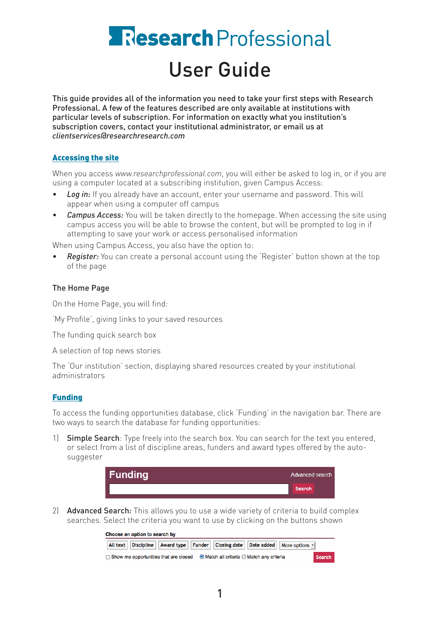# **Research** Professional User Guide

This guide provides all of the information you need to take your first steps with Research Professional. A few of the features described are only available at institutions with particular levels of subscription. For information on exactly what you institution's subscription covers, contact your institutional administrator, or email us at *clientservices@researchresearch.com*

# Accessing the site

When you access *www.researchprofessional.com*, you will either be asked to log in, or if you are using a computer located at a subscribing institution, given Campus Access:

- **Log in:** If you already have an account, enter your username and password. This will appear when using a computer off campus
- **Campus Access:** You will be taken directly to the homepage. When accessing the site using campus access you will be able to browse the content, but will be prompted to log in if attempting to save your work or access personalised information

When using Campus Access, you also have the option to:

**Register:** You can create a personal account using the 'Register' button shown at the top of the page

# The Home Page

On the Home Page, you will find:

'My Profile', giving links to your saved resources

The funding quick search box

A selection of top news stories

The 'Our institution' section, displaying shared resources created by your institutional administrators

## Funding

To access the funding opportunities database, click 'Funding' in the navigation bar. There are two ways to search the database for funding opportunities:

1) Simple Search: Type freely into the search box. You can search for the text you entered, or select from a list of discipline areas, funders and award types offered by the autosuggester



2) Advanced Search*:* This allows you to use a wide variety of criteria to build complex searches. Select the criteria you want to use by clicking on the buttons shown

| Choose an option to search by                                                                        |                                                                                          |  |  |  |  |  |  |
|------------------------------------------------------------------------------------------------------|------------------------------------------------------------------------------------------|--|--|--|--|--|--|
|                                                                                                      | All text   Discipline   Award type   Funder   Closing date   Date added   More options - |  |  |  |  |  |  |
| $\Box$ Show me opportunities that are closed $\Box$ Match all criteria $\bigcirc$ Match any criteria | Search                                                                                   |  |  |  |  |  |  |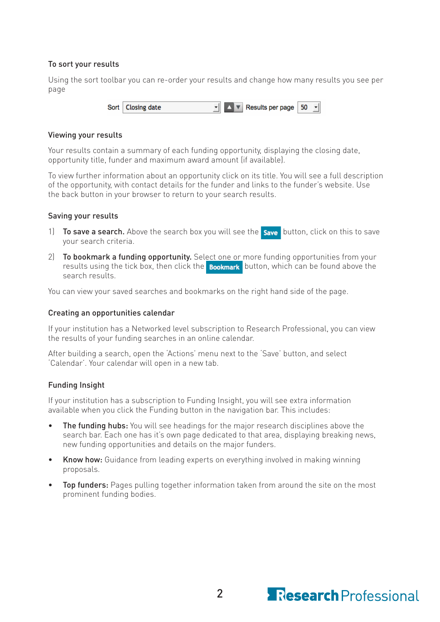## To sort your results

Using the sort toolbar you can re-order your results and change how many results you see per page

> **AV** Results per page Sort **Closing date** 50

## Viewing your results

Your results contain a summary of each funding opportunity, displaying the closing date, opportunity title, funder and maximum award amount (if available).

To view further information about an opportunity click on its title. You will see a full description of the opportunity, with contact details for the funder and links to the funder's website. Use the back button in your browser to return to your search results.

## Saving your results

- 1) To save a search. Above the search box you will see the save button, click on this to save your search criteria.
- 2) To bookmark a funding opportunity. Select one or more funding opportunities from your results using the tick box, then click the **Bookmark** button, which can be found above the search results.

You can view your saved searches and bookmarks on the right hand side of the page.

## Creating an opportunities calendar

If your institution has a Networked level subscription to Research Professional, you can view the results of your funding searches in an online calendar.

After building a search, open the 'Actions' menu next to the 'Save' button, and select 'Calendar'. Your calendar will open in a new tab.

## Funding Insight

If your institution has a subscription to Funding Insight, you will see extra information available when you click the Funding button in the navigation bar. This includes:

- The funding hubs: You will see headings for the major research disciplines above the search bar. Each one has it's own page dedicated to that area, displaying breaking news, new funding opportunities and details on the major funders.
- **Know how:** Guidance from leading experts on everything involved in making winning proposals.
- Top funders: Pages pulling together information taken from around the site on the most prominent funding bodies.

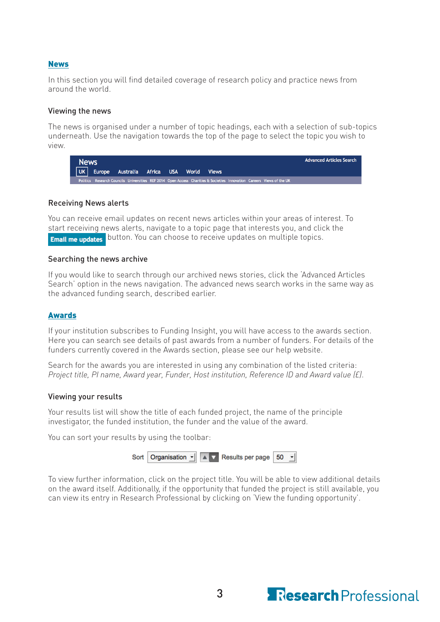## News

In this section you will find detailed coverage of research policy and practice news from around the world.

#### Viewing the news

The news is organised under a number of topic headings, each with a selection of sub-topics underneath. Use the navigation towards the top of the page to select the topic you wish to view.

| <b>News</b> |                                            |  |  |                                                                                                                       | <b>Advanced Articles Search</b> |
|-------------|--------------------------------------------|--|--|-----------------------------------------------------------------------------------------------------------------------|---------------------------------|
|             | UK Europe Australia Africa USA World Views |  |  |                                                                                                                       |                                 |
|             |                                            |  |  | Politics Research Councils Universities REF 2014 Open Access Charities & Societies Innovation Careers Views of the UK |                                 |

## Receiving News alerts

You can receive email updates on recent news articles within your areas of interest. To start receiving news alerts, navigate to a topic page that interests you, and click the **Email me updates** button. You can choose to receive updates on multiple topics.

#### Searching the news archive

If you would like to search through our archived news stories, click the 'Advanced Articles Search' option in the news navigation. The advanced news search works in the same way as the advanced funding search, described earlier.

## Awards

If your institution subscribes to Funding Insight, you will have access to the awards section. Here you can search see details of past awards from a number of funders. For details of the funders currently covered in the Awards section, please see our help website.

Search for the awards you are interested in using any combination of the listed criteria: *Project title, PI name, Award year, Funder, Host institution, Reference ID and Award value (£)*.

#### Viewing your results

Your results list will show the title of each funded project, the name of the principle investigator, the funded institution, the funder and the value of the award.

You can sort your results by using the toolbar:

|  |  |  | Sort   Organisation $\underline{\cdot}$   $\begin{array}{ c c c c c }\n\hline\n\end{array}$ Results per page   50 $\underline{\cdot}$ |  |  |  |
|--|--|--|---------------------------------------------------------------------------------------------------------------------------------------|--|--|--|
|--|--|--|---------------------------------------------------------------------------------------------------------------------------------------|--|--|--|

To view further information, click on the project title. You will be able to view additional details on the award itself. Additionally, if the opportunity that funded the project is still available, you can view its entry in Research Professional by clicking on 'View the funding opportunity'.